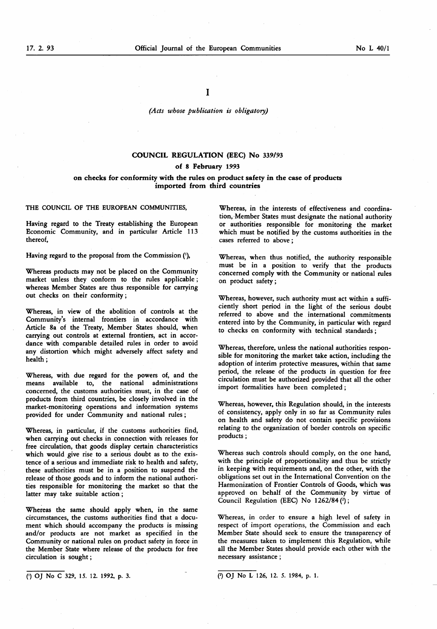### (Acts whose publication is obligatory)

## COUNCIL REGULATION (EEC) No 339/93

# of 8 February 1993

## on checks for conformity with the rules on product safety in the case of products imported from third countries

#### THE COUNCIL OF THE EUROPEAN COMMUNITIES,

Having regard to the Treaty establishing the European Economic Community, and in particular Article 113 thereof,

Having regard to the proposal from the Commission ('),

Whereas products may not be placed on the Community market unless they conform to the rules applicable ; whereas Member States are thus responsible for carrying out checks on their conformity ;

Whereas, in view of the abolition of controls at the Community's internal frontiers in accordance with Article 8a of the Treaty, Member States should, when carrying out controls at external frontiers, act in accordance with comparable detailed rules in order to avoid any distortion which might adversely affect safety and health ;

Whereas, with due regard for the powers of, and the means available to, the national administrations concerned, the customs authorities must, in the case of products from third countries, be closely involved in the market-monitoring operations and information systems provided for under Community and national rules ;

Whereas, in particular, if the customs authorities find, when carrying out checks in connection with releases for free circulation, that goods display certain characteristics which would give rise to a serious doubt as to the existence of a serious and immediate risk to health and safety, these authorities must be in a position to suspend the release of those goods and to inform the national authorities responsible for monitoring the market so that the latter may take suitable action ;

Whereas the same should apply when, in the same circumstances, the customs authorities find that a document which should accompany the products is missing and/or products are not market as specified in the Community or national rules on product safety in force in the Member State where release of the products for free circulation is sought ;

Whereas, in the interests of effectiveness and coordination, Member States must designate the national authority or authorities responsible for monitoring the market which must be notified by the customs authorities in the cases referred to above ;

Whereas, when thus notified, the authority responsible must be in a position to verify that the products concerned comply with the Community or national rules on product safety ;

Whereas, however, such authority must act within a sufficiently short period in the light of the serious doubt referred to above and the international commitments entered into by the Community, in particular with regard to checks on conformity with technical standards ;

Whereas, therefore, unless the national authorities responsible for monitoring the market take action, including the adoption of interim protective measures, within that same period, the release of the products in question for free circulation must be authorized provided that all the other import formalities have been completed ;

Whereas, however, this Regulation should, in the interests of consistency, apply only in so far as Community rules on health and safety do not contain specific provisions relating to the organization of border controls on specific products ;

Whereas such controls should comply, on the one hand, with the principle of proportionality and thus be strictly in keeping with requirements and, on the other, with the obligations set out in the International Convention on the Harmonization of Frontier Controls of Goods, which was approved on behalf of the Community by virtue of Council Regulation (EEC) No  $1262/84$  (2);

Whereas, in order to ensure a high level of safety in respect of import operations, the Commission and each Member State should seek to ensure the transparency of the measures taken to implement this Regulation, while all the Member States should provide each other with the necessary assistance ;

( $\overline{'}$ ) OJ No C 329, 15. 12. 1992, p. 3.  $\overline{'}$  OJ No L 126, 12. 5. 1984, p. 1.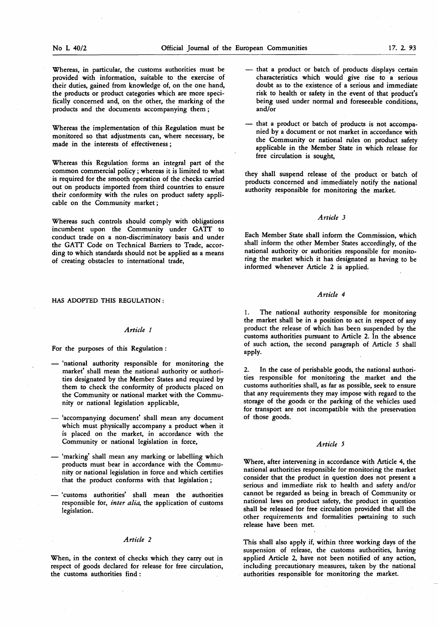Whereas, in particular, the customs authorities must be provided with information, suitable to the exercise of their duties, gained from knowledge of, on the one hand, the products or product categories which are more specifically concerned and, on the other, the marking of the products and the documents accompanying them ;

Whereas the implementation of this Regulation must be monitored so that adjustments can, where necessary, be made in the interests of effectiveness ;

Whereas this Regulation forms an integral part of the common commercial policy ; whereas it is limited to what is required for the smooth operation of the checks carried out on products imported from third countries to ensure their conformity with the rules on product safety applicable on the Community market ;

Whereas such controls should comply with obligations incumbent upon the Community under GATT to conduct trade on a non-discriminatory basis and under the GATT Code on Technical Barriers to Trade, according to which standards should not be applied as a means of creating obstacles to international trade,

HAS ADOPTED THIS REGULATION :

## Article <sup>1</sup>

For the purposes of this Regulation :

- 'national authority responsible for monitoring the market' shall mean the national authority or authorities designated by the Member States and required by them to check the conformity of products placed on the Community or national market with the Community or national legislation applicable,
- 'accompanying document' shall mean any document which must physically accompany a product when it is placed on the market, in accordance with the Community or national legislation in force,
- 'marking' shall mean any marking or labelling which products must bear in accordance with the Community or national legislation in force and which certifies that the product conforms with that legislation ;
- 'customs authorities' shall mean the authorities responsible for, inter alia, the application of customs legislation.

### Article 2

When, in the context of checks which they carry out in respect of goods declared for release for free circulation, the customs authorities find :

- that a product or batch of products displays certain characteristics which would give rise to a serious doubt as to the existence of a serious and immediate risk to health or safety in the event of that product's being used under normal and foreseeable conditions, and/or
- that a product or batch of products is not accompanied by a document or not market in accordance with the Community or national rules on product safety applicable in the Member State in which release for free circulation is sought,

they shall suspend release of the product or batch of products concerned and immediately notify the national authority responsible for monitoring the market.

# Article 3

Each Member State shall inform the Commission, which shall inform the other Member States accordingly, of the national authority or authorities responsible for monitoring the market which it has designated as having to be informed whenever Article 2 is applied.

## Article 4

1. The national authority responsible for monitoring the market shall be in a position to act in respect of any product the release of which has been suspended by the customs authorities pursuant to Article 2. In the absence of such action, the second paragraph of Article 5 shall apply.

2. In the case of perishable goods, the national authorities responsible for monitoring the market and the customs authorities shall, as far as possible, seek to ensure that any requirements they may impose with regard to the storage of the goods or the parking of the vehicles used for transport are not incompatible with the preservation of those goods.

### Article 5

Where, after intervening in accordance with Article 4, the national authorities responsible for monitoring the market consider that the product in question does not present a serious and immediate risk to health and safety and/or cannot be regarded as being in breach of Community or national laws on product safety, the product in question shall be released for free circulation provided that all the other requirements and formalities pertaining to such release have been met.

This shall also apply if, within three working days of the suspension of release, the customs authorities, having applied Article 2, have not been notified of any action, including precautionary measures, taken by the national authorities responsible for monitoring the market.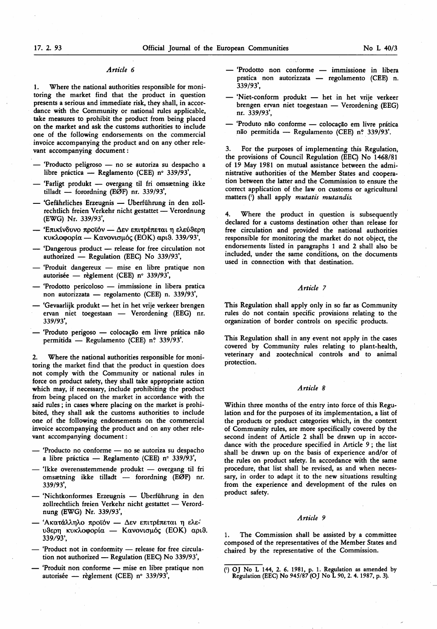### Article 6

1. Where the national authorities responsible for monitoring the market find that the product in question presents a serious and immediate risk, they shall, in accordance with the Community or national rules applicable, take measures to prohibit the product from being placed on the market and ask the customs authorities to include one of the following endorsements on the commercial invoice accompanying the product and on any other relevant accompanying document :

- Producto peligroso no se autoriza su despacho a libre práctica — Reglamento (CEE) n° 339/93',
- Farligt produkt overgang til fri omsætning ikke tilladt — forordning (EØF) nr. 339/93',
- 'Gefährliches Erzeugnis Überführung in den zollrechtlich freien Verkehr nicht gestattet — Verordnung (EWG) Nr. 339/93',
- Επικίνδυνο προϊόν Δεν επιτρέπεται η ελεύθερη κυκλοφορία — Κανονισμός (EOK) αριθ. 339/93',
- Dangerous product release for free circulation not authorized — Regulation (EEC) No 339/93',
- Produit dangereux mise en libre pratique non autorisée — règlement (CEE) nº 339/93',
- 'Prodotto pericoloso immissione in libera pratica non autorizzata — regolamento (CEE) n. 339/93',
- 'Gevaarlijk produkt het in het vrije verkeer brengen ervan niet toegestaan — Verordening (EEG) nr. 339/93',
- Produto perigoso colocação em livre pratica não permitida — Regulamento (CEE) n? 339/93'.

2. Where the national authorities responsible for monitoring the market find that the product in question does not comply with the Community or national rules in force on product safety, they shall take appropriate action which may, if necessary, include prohibiting the product from being placed on the market in accordance with the said rules ; in cases where placing on the market is prohibited, they shall ask the customs authorities to include one of the following endorsements on the commercial invoice accompanying the product and on any other relevant accompanying document :

- Producto no conforme no se autoriza su despacho <sup>a</sup> libre práctica — Reglamento (CEE) n° 339/93',
- 'Ikke overensstemmende produkt overgang til fri omsætning ikke tilladt — forordning (EØF) nr. 339/93',
- 'Nichtkonformes Erzeugnis Uberführung in den zollrechtlich freien Verkehr nicht gestattet — Verordnung (EWG) Nr. 339/93',
- 'Ακατάλληλο προϊόν Δεν επιτρέπεται η ελεύθερη κυκλοφορία — Κανονισμός (ΕΟΚ) αριθ. 339/93',
- 'Product not in conformity release for free circulation not authorized — Regulation (EEC) No 339/93',
- Produit non conforme mise en libre pratique non autorisée — règlement (CEE) n° 339/93',
- Prodotto non conforme immissione in libera pratica non autorizzata — regolamento (CEE) n. 339/93',
- Niet-conform produkt het in het vrije verkeer brengen ervan niet toegestaan — Verordening (EEG) nr. 339/93',
- Produto não conforme colocação em livre prática não permitida — Regulamento (CEE) n? 339/93'.

3. For the purposes of implementing this Regulation, the provisions of Council Regulation (EEC) No 1468/81 of 19 May 1981 on mutual assistance between the administrative authorities of the Member States and cooperation between the latter and the Commission to ensure the correct application of the law on customs or agricultural matters (1) shall apply *mutatis mutandis*.

4. Where the product in question is subsequently declared for a customs destination other than release for free circulation and provided the national authorities responsible for monitoring the market do not object, the endorsements listed in paragraphs <sup>1</sup> and 2 shall also be included, under the same conditions, on the documents used in connection with that destination.

## Article 7

This Regulation shall apply only in so far as Community rules do not contain specific provisions relating to the organization of border controls on specific products.

This Regulation shall in any event not apply in the cases covered by Community rules relating to plant-health, veterinary and zootechnical controls and to animal protection.

### Article 8

Within three months of the entry into force of this Regulation and for the purposes of its implementation, a list of the products or product categories which, in the context of Community rules, are more specifically covered by the second indent of Article 2 shall be drawn up in accordance with the procedure specified in Article 9 ; the list shall be drawn up on the basis of experience and/or of the rules on product safety. In accordance with the same procedure, that list shall be revised, as and when necessary, in order to adapt it to the new situations resulting from the experience and development of the rules on product safety.

#### Article 9

The Commission shall be assisted by a committee composed of the representatives of the Member States and chaired by the representative of the Commission.

<sup>(&#</sup>x27;) OJ No L 144, 2. 6. 1981, p. 1. Regulation as amended by Regulation (EEC) No 945/87 (OJ No L 90, 2. 4. 1987, p. 3).